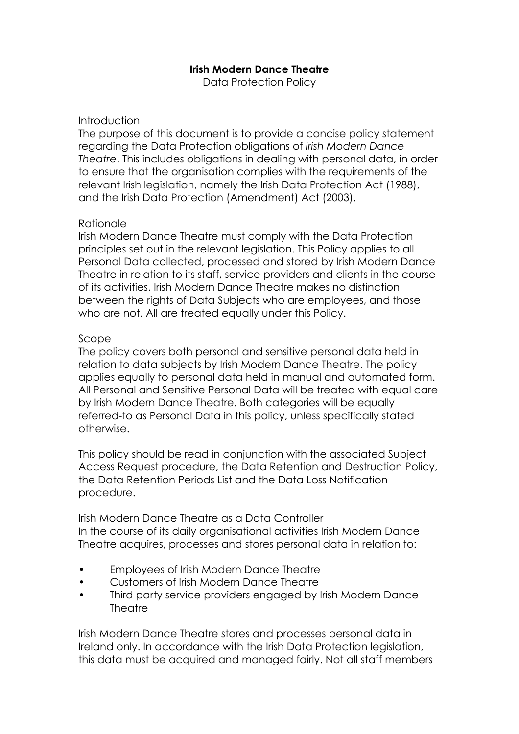# **Irish Modern Dance Theatre**

Data Protection Policy

### **Introduction**

The purpose of this document is to provide a concise policy statement regarding the Data Protection obligations of *Irish Modern Dance Theatre*. This includes obligations in dealing with personal data, in order to ensure that the organisation complies with the requirements of the relevant Irish legislation, namely the Irish Data Protection Act (1988), and the Irish Data Protection (Amendment) Act (2003).

## Rationale

Irish Modern Dance Theatre must comply with the Data Protection principles set out in the relevant legislation. This Policy applies to all Personal Data collected, processed and stored by Irish Modern Dance Theatre in relation to its staff, service providers and clients in the course of its activities. Irish Modern Dance Theatre makes no distinction between the rights of Data Subjects who are employees, and those who are not. All are treated equally under this Policy.

## Scope

The policy covers both personal and sensitive personal data held in relation to data subjects by Irish Modern Dance Theatre. The policy applies equally to personal data held in manual and automated form. All Personal and Sensitive Personal Data will be treated with equal care by Irish Modern Dance Theatre. Both categories will be equally referred-to as Personal Data in this policy, unless specifically stated otherwise.

This policy should be read in conjunction with the associated Subject Access Request procedure, the Data Retention and Destruction Policy, the Data Retention Periods List and the Data Loss Notification procedure.

### Irish Modern Dance Theatre as a Data Controller In the course of its daily organisational activities Irish Modern Dance Theatre acquires, processes and stores personal data in relation to:

- Employees of Irish Modern Dance Theatre
- Customers of Irish Modern Dance Theatre
- Third party service providers engaged by Irish Modern Dance **Theatre**

Irish Modern Dance Theatre stores and processes personal data in Ireland only. In accordance with the Irish Data Protection legislation, this data must be acquired and managed fairly. Not all staff members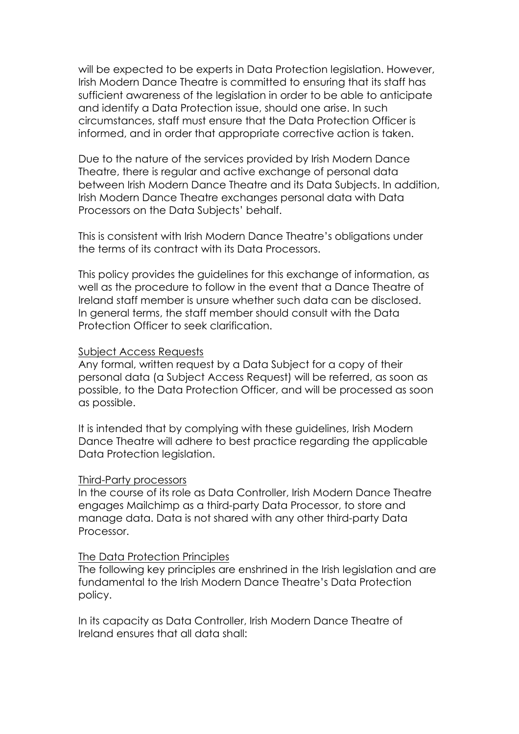will be expected to be experts in Data Protection legislation. However, Irish Modern Dance Theatre is committed to ensuring that its staff has sufficient awareness of the legislation in order to be able to anticipate and identify a Data Protection issue, should one arise. In such circumstances, staff must ensure that the Data Protection Officer is informed, and in order that appropriate corrective action is taken.

Due to the nature of the services provided by Irish Modern Dance Theatre, there is regular and active exchange of personal data between Irish Modern Dance Theatre and its Data Subjects. In addition, Irish Modern Dance Theatre exchanges personal data with Data Processors on the Data Subjects' behalf.

This is consistent with Irish Modern Dance Theatre's obligations under the terms of its contract with its Data Processors.

This policy provides the guidelines for this exchange of information, as well as the procedure to follow in the event that a Dance Theatre of Ireland staff member is unsure whether such data can be disclosed. In general terms, the staff member should consult with the Data Protection Officer to seek clarification.

#### Subject Access Requests

Any formal, written request by a Data Subject for a copy of their personal data (a Subject Access Request) will be referred, as soon as possible, to the Data Protection Officer, and will be processed as soon as possible.

It is intended that by complying with these guidelines, Irish Modern Dance Theatre will adhere to best practice regarding the applicable Data Protection legislation.

#### Third-Party processors

In the course of its role as Data Controller, Irish Modern Dance Theatre engages Mailchimp as a third-party Data Processor, to store and manage data. Data is not shared with any other third-party Data **Processor** 

#### The Data Protection Principles

The following key principles are enshrined in the Irish legislation and are fundamental to the Irish Modern Dance Theatre's Data Protection policy.

In its capacity as Data Controller, Irish Modern Dance Theatre of Ireland ensures that all data shall: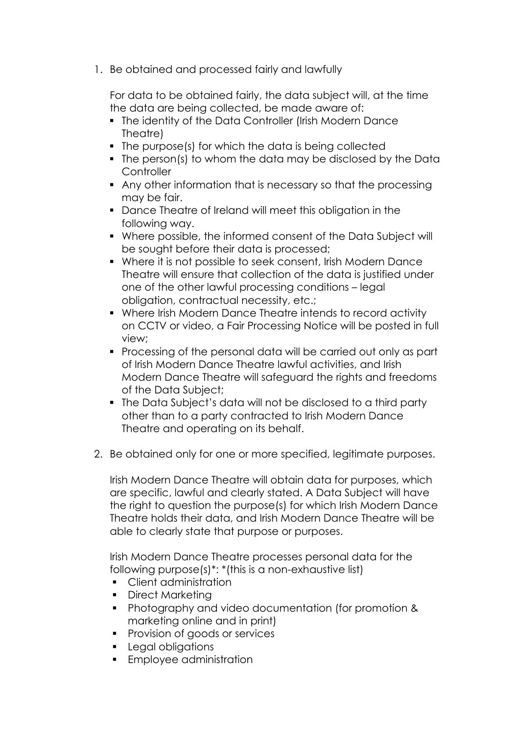1. Be obtained and processed fairly and lawfully

For data to be obtained fairly, the data subject will, at the time the data are being collected, be made aware of:

- The identity of the Data Controller (Irish Modern Dance Theatre)
- The purpose(s) for which the data is being collected
- The person(s) to whom the data may be disclosed by the Data **Controller**
- § Any other information that is necessary so that the processing may be fair.
- § Dance Theatre of Ireland will meet this obligation in the following way.
- § Where possible, the informed consent of the Data Subject will be sought before their data is processed;
- § Where it is not possible to seek consent, Irish Modern Dance Theatre will ensure that collection of the data is justified under one of the other lawful processing conditions – legal obligation, contractual necessity, etc.;
- Where Irish Modern Dance Theatre intends to record activity on CCTV or video, a Fair Processing Notice will be posted in full view;
- § Processing of the personal data will be carried out only as part of Irish Modern Dance Theatre lawful activities, and Irish Modern Dance Theatre will safeguard the rights and freedoms of the Data Subject;
- The Data Subject's data will not be disclosed to a third party other than to a party contracted to Irish Modern Dance Theatre and operating on its behalf.
- 2. Be obtained only for one or more specified, legitimate purposes.

Irish Modern Dance Theatre will obtain data for purposes, which are specific, lawful and clearly stated. A Data Subject will have the right to question the purpose(s) for which Irish Modern Dance Theatre holds their data, and Irish Modern Dance Theatre will be able to clearly state that purpose or purposes.

Irish Modern Dance Theatre processes personal data for the following purpose(s)\*: \*(this is a non-exhaustive list)

- Client administration
- Direct Marketina
- § Photography and video documentation (for promotion & marketing online and in print)
- Provision of goods or services
- Legal obligations
- Employee administration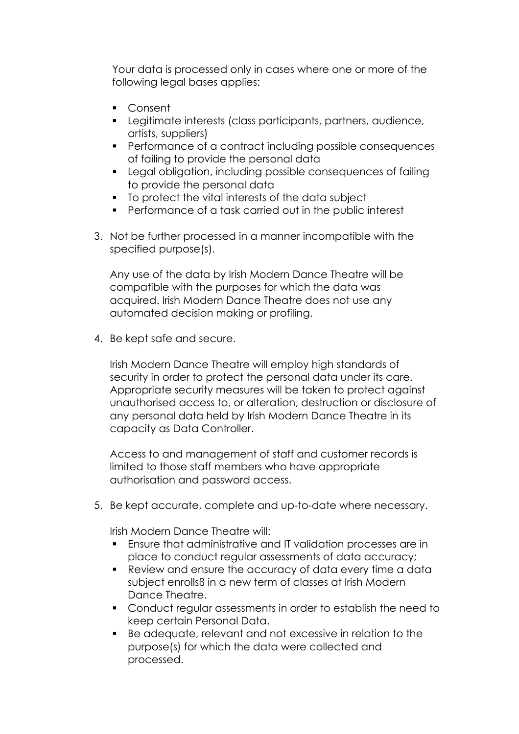Your data is processed only in cases where one or more of the following legal bases applies:

- Consent
- Legitimate interests (class participants, partners, audience, artists, suppliers)
- Performance of a contract including possible consequences of failing to provide the personal data
- § Legal obligation, including possible consequences of failing to provide the personal data
- § To protect the vital interests of the data subject
- Performance of a task carried out in the public interest
- 3. Not be further processed in a manner incompatible with the specified purpose(s).

Any use of the data by Irish Modern Dance Theatre will be compatible with the purposes for which the data was acquired. Irish Modern Dance Theatre does not use any automated decision making or profiling.

4. Be kept safe and secure.

Irish Modern Dance Theatre will employ high standards of security in order to protect the personal data under its care. Appropriate security measures will be taken to protect against unauthorised access to, or alteration, destruction or disclosure of any personal data held by Irish Modern Dance Theatre in its capacity as Data Controller.

Access to and management of staff and customer records is limited to those staff members who have appropriate authorisation and password access.

5. Be kept accurate, complete and up-to-date where necessary.

Irish Modern Dance Theatre will:

- Ensure that administrative and IT validation processes are in place to conduct regular assessments of data accuracy;
- Review and ensure the accuracy of data every time a data subject enrollsß in a new term of classes at Irish Modern Dance Theatre.
- Conduct regular assessments in order to establish the need to keep certain Personal Data.
- Be adequate, relevant and not excessive in relation to the purpose(s) for which the data were collected and processed.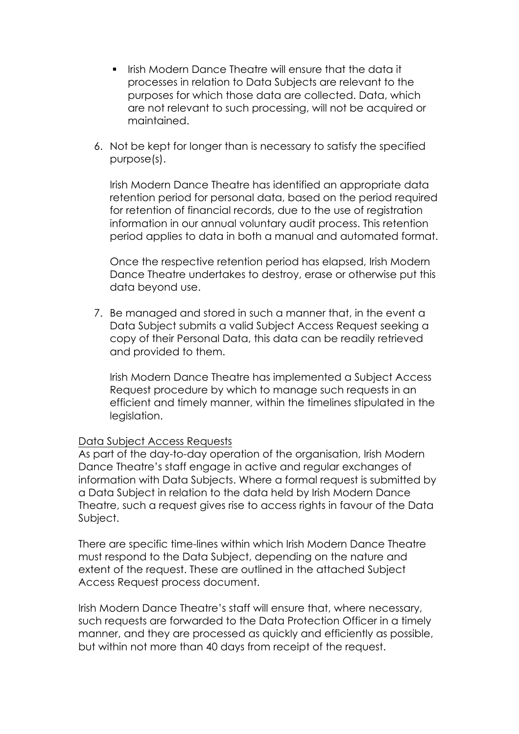- **Irish Modern Dance Theatre will ensure that the data it** processes in relation to Data Subjects are relevant to the purposes for which those data are collected. Data, which are not relevant to such processing, will not be acquired or maintained.
- 6. Not be kept for longer than is necessary to satisfy the specified purpose(s).

Irish Modern Dance Theatre has identified an appropriate data retention period for personal data, based on the period required for retention of financial records, due to the use of registration information in our annual voluntary audit process. This retention period applies to data in both a manual and automated format.

Once the respective retention period has elapsed, Irish Modern Dance Theatre undertakes to destroy, erase or otherwise put this data beyond use.

7. Be managed and stored in such a manner that, in the event a Data Subject submits a valid Subject Access Request seeking a copy of their Personal Data, this data can be readily retrieved and provided to them.

Irish Modern Dance Theatre has implemented a Subject Access Request procedure by which to manage such requests in an efficient and timely manner, within the timelines stipulated in the legislation.

## Data Subject Access Requests

As part of the day-to-day operation of the organisation, Irish Modern Dance Theatre's staff engage in active and regular exchanges of information with Data Subjects. Where a formal request is submitted by a Data Subject in relation to the data held by Irish Modern Dance Theatre, such a request gives rise to access rights in favour of the Data Subject.

There are specific time-lines within which Irish Modern Dance Theatre must respond to the Data Subject, depending on the nature and extent of the request. These are outlined in the attached Subject Access Request process document.

Irish Modern Dance Theatre's staff will ensure that, where necessary, such requests are forwarded to the Data Protection Officer in a timely manner, and they are processed as quickly and efficiently as possible, but within not more than 40 days from receipt of the request.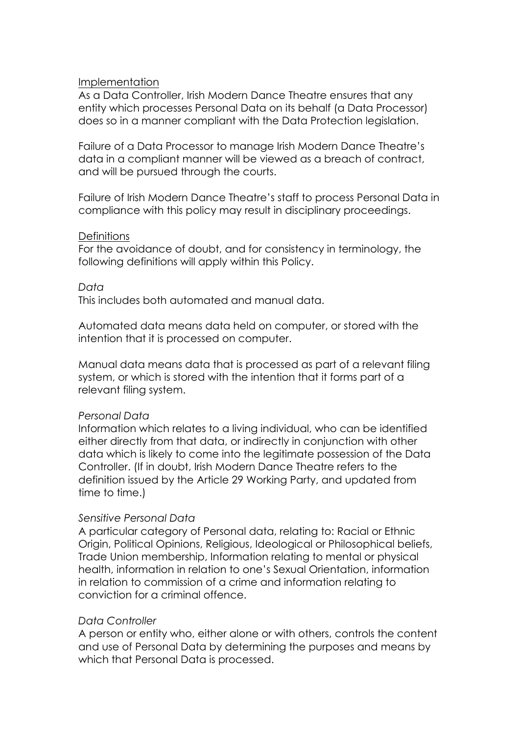### Implementation

As a Data Controller, Irish Modern Dance Theatre ensures that any entity which processes Personal Data on its behalf (a Data Processor) does so in a manner compliant with the Data Protection legislation.

Failure of a Data Processor to manage Irish Modern Dance Theatre's data in a compliant manner will be viewed as a breach of contract, and will be pursued through the courts.

Failure of Irish Modern Dance Theatre's staff to process Personal Data in compliance with this policy may result in disciplinary proceedings.

## **Definitions**

For the avoidance of doubt, and for consistency in terminology, the following definitions will apply within this Policy.

## *Data*

This includes both automated and manual data.

Automated data means data held on computer, or stored with the intention that it is processed on computer.

Manual data means data that is processed as part of a relevant filing system, or which is stored with the intention that it forms part of a relevant filing system.

## *Personal Data*

Information which relates to a living individual, who can be identified either directly from that data, or indirectly in conjunction with other data which is likely to come into the legitimate possession of the Data Controller. (If in doubt, Irish Modern Dance Theatre refers to the definition issued by the Article 29 Working Party, and updated from time to time.)

## *Sensitive Personal Data*

A particular category of Personal data, relating to: Racial or Ethnic Origin, Political Opinions, Religious, Ideological or Philosophical beliefs, Trade Union membership, Information relating to mental or physical health, information in relation to one's Sexual Orientation, information in relation to commission of a crime and information relating to conviction for a criminal offence.

## *Data Controller*

A person or entity who, either alone or with others, controls the content and use of Personal Data by determining the purposes and means by which that Personal Data is processed.